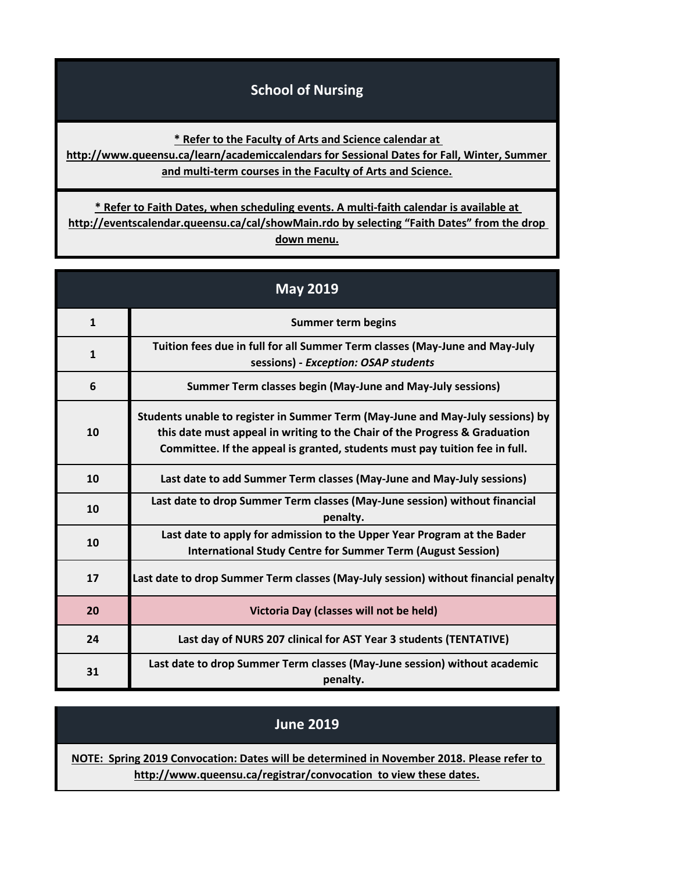## **School of Nursing**

**\* Refer to the Faculty of Arts and Science calendar at** 

**[http://www](http://www.queensu.ca/learn/academiccalendars).queensu.ca/learn/academiccalendars for Sessional Dates for Fall, Winter, Summer and multi-term courses in the Faculty of Arts and Science.**

**[\\* Refer](http://eventscalendar.queensu.ca/cal/showMain.rdo) to Faith Dates, when scheduling events. A multi-faith calendar is available at [http://event](http://eventscalendar.queensu.ca/cal/showMain.rdo)scalendar.queensu.ca/cal/showMain.rdo by selecting "Faith Dates" from the drop down menu.**

| <b>May 2019</b> |                                                                                                                                                                                                                                             |
|-----------------|---------------------------------------------------------------------------------------------------------------------------------------------------------------------------------------------------------------------------------------------|
| $\mathbf{1}$    | <b>Summer term begins</b>                                                                                                                                                                                                                   |
| $\mathbf{1}$    | Tuition fees due in full for all Summer Term classes (May-June and May-July<br>sessions) - Exception: OSAP students                                                                                                                         |
| 6               | Summer Term classes begin (May-June and May-July sessions)                                                                                                                                                                                  |
| 10              | Students unable to register in Summer Term (May-June and May-July sessions) by<br>this date must appeal in writing to the Chair of the Progress & Graduation<br>Committee. If the appeal is granted, students must pay tuition fee in full. |
| 10              | Last date to add Summer Term classes (May-June and May-July sessions)                                                                                                                                                                       |
| 10              | Last date to drop Summer Term classes (May-June session) without financial<br>penalty.                                                                                                                                                      |
| 10              | Last date to apply for admission to the Upper Year Program at the Bader<br><b>International Study Centre for Summer Term (August Session)</b>                                                                                               |
| 17              | Last date to drop Summer Term classes (May-July session) without financial penalty                                                                                                                                                          |
| 20              | Victoria Day (classes will not be held)                                                                                                                                                                                                     |
| 24              | Last day of NURS 207 clinical for AST Year 3 students (TENTATIVE)                                                                                                                                                                           |
| 31              | Last date to drop Summer Term classes (May-June session) without academic<br>penalty.                                                                                                                                                       |

## **[NOTE: Sprin](http://www.queensu.ca/registrar/convocation)g 2019 Convocation: Dates will be determined in November 2018. Please refer to [h](http://www.queensu.ca/registrar/convocation)ttp://www.queensu.ca/registrar/convocation to view these dates. June 2019**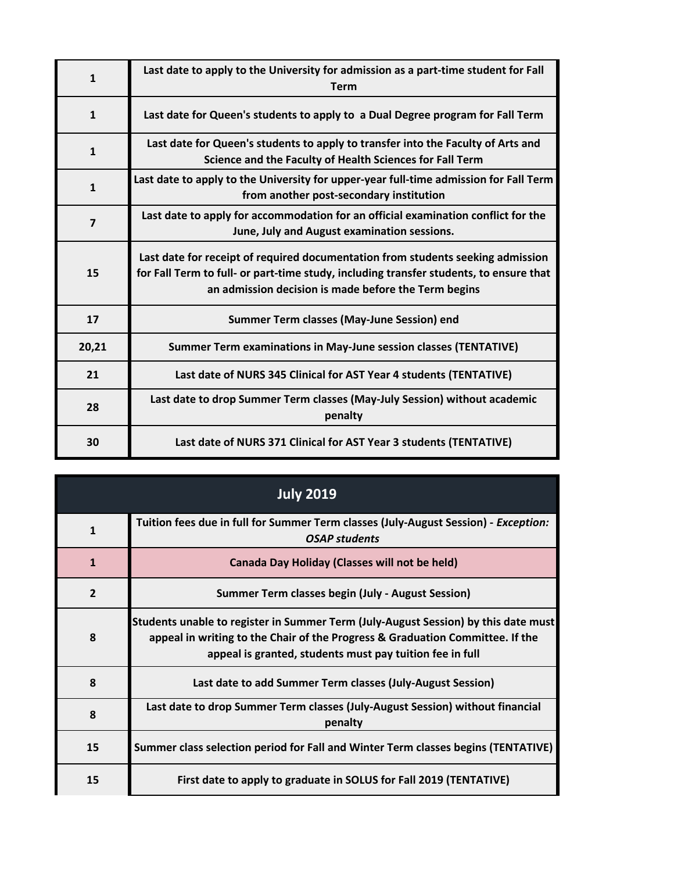| $\mathbf{1}$   | Last date to apply to the University for admission as a part-time student for Fall<br><b>Term</b>                                                                                                                                 |
|----------------|-----------------------------------------------------------------------------------------------------------------------------------------------------------------------------------------------------------------------------------|
| $\mathbf{1}$   | Last date for Queen's students to apply to a Dual Degree program for Fall Term                                                                                                                                                    |
| $\mathbf{1}$   | Last date for Queen's students to apply to transfer into the Faculty of Arts and<br>Science and the Faculty of Health Sciences for Fall Term                                                                                      |
| $\mathbf{1}$   | Last date to apply to the University for upper-year full-time admission for Fall Term<br>from another post-secondary institution                                                                                                  |
| $\overline{7}$ | Last date to apply for accommodation for an official examination conflict for the<br>June, July and August examination sessions.                                                                                                  |
| 15             | Last date for receipt of required documentation from students seeking admission<br>for Fall Term to full- or part-time study, including transfer students, to ensure that<br>an admission decision is made before the Term begins |
| 17             | Summer Term classes (May-June Session) end                                                                                                                                                                                        |
| 20,21          | Summer Term examinations in May-June session classes (TENTATIVE)                                                                                                                                                                  |
| 21             | Last date of NURS 345 Clinical for AST Year 4 students (TENTATIVE)                                                                                                                                                                |
| 28             | Last date to drop Summer Term classes (May-July Session) without academic<br>penalty                                                                                                                                              |
| 30             | Last date of NURS 371 Clinical for AST Year 3 students (TENTATIVE)                                                                                                                                                                |

| <b>July 2019</b> |                                                                                                                                                                                                                                 |
|------------------|---------------------------------------------------------------------------------------------------------------------------------------------------------------------------------------------------------------------------------|
| $\mathbf{1}$     | Tuition fees due in full for Summer Term classes (July-August Session) - Exception:<br><b>OSAP</b> students                                                                                                                     |
| $\mathbf{1}$     | <b>Canada Day Holiday (Classes will not be held)</b>                                                                                                                                                                            |
| $\overline{2}$   | <b>Summer Term classes begin (July - August Session)</b>                                                                                                                                                                        |
| 8                | Students unable to register in Summer Term (July-August Session) by this date must<br>appeal in writing to the Chair of the Progress & Graduation Committee. If the<br>appeal is granted, students must pay tuition fee in full |
| 8                | Last date to add Summer Term classes (July-August Session)                                                                                                                                                                      |
| 8                | Last date to drop Summer Term classes (July-August Session) without financial<br>penalty                                                                                                                                        |
| 15               | Summer class selection period for Fall and Winter Term classes begins (TENTATIVE)                                                                                                                                               |
| 15               | First date to apply to graduate in SOLUS for Fall 2019 (TENTATIVE)                                                                                                                                                              |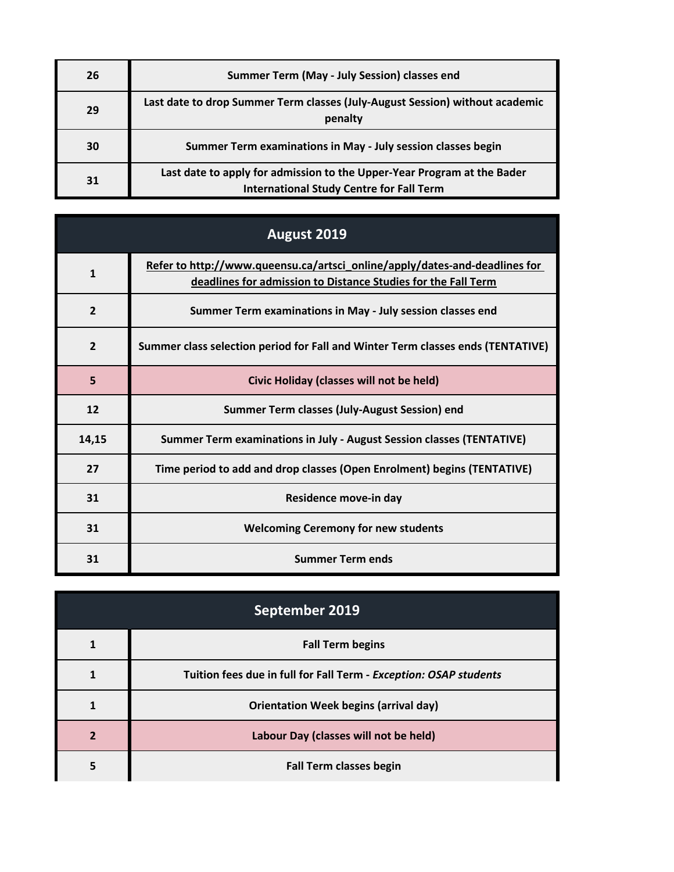| 26 | Summer Term (May - July Session) classes end                                                                               |
|----|----------------------------------------------------------------------------------------------------------------------------|
| 29 | Last date to drop Summer Term classes (July-August Session) without academic<br>penalty                                    |
| 30 | Summer Term examinations in May - July session classes begin                                                               |
| 31 | Last date to apply for admission to the Upper-Year Program at the Bader<br><b>International Study Centre for Fall Term</b> |

| August 2019    |                                                                                                                                             |
|----------------|---------------------------------------------------------------------------------------------------------------------------------------------|
| 1              | Refer to http://www.queensu.ca/artsci_online/apply/dates-and-deadlines for<br>deadlines for admission to Distance Studies for the Fall Term |
| $\overline{2}$ | Summer Term examinations in May - July session classes end                                                                                  |
| $\overline{2}$ | Summer class selection period for Fall and Winter Term classes ends (TENTATIVE)                                                             |
| 5              | Civic Holiday (classes will not be held)                                                                                                    |
| 12             | Summer Term classes (July-August Session) end                                                                                               |
| 14,15          | Summer Term examinations in July - August Session classes (TENTATIVE)                                                                       |
| 27             | Time period to add and drop classes (Open Enrolment) begins (TENTATIVE)                                                                     |
| 31             | Residence move-in day                                                                                                                       |
| 31             | <b>Welcoming Ceremony for new students</b>                                                                                                  |
| 31             | <b>Summer Term ends</b>                                                                                                                     |

| September 2019 |                                                                   |
|----------------|-------------------------------------------------------------------|
|                | <b>Fall Term begins</b>                                           |
|                | Tuition fees due in full for Fall Term - Exception: OSAP students |
|                | <b>Orientation Week begins (arrival day)</b>                      |
|                | Labour Day (classes will not be held)                             |
|                | <b>Fall Term classes begin</b>                                    |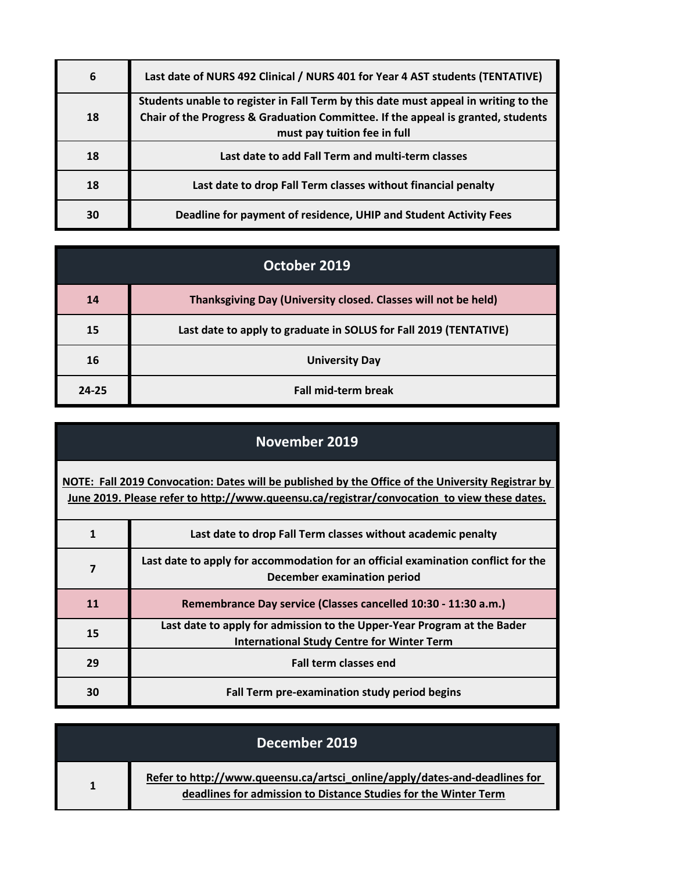| 6  | Last date of NURS 492 Clinical / NURS 401 for Year 4 AST students (TENTATIVE)                                                                                                                           |
|----|---------------------------------------------------------------------------------------------------------------------------------------------------------------------------------------------------------|
| 18 | Students unable to register in Fall Term by this date must appeal in writing to the<br>Chair of the Progress & Graduation Committee. If the appeal is granted, students<br>must pay tuition fee in full |
| 18 | Last date to add Fall Term and multi-term classes                                                                                                                                                       |
| 18 | Last date to drop Fall Term classes without financial penalty                                                                                                                                           |
| 30 | Deadline for payment of residence, UHIP and Student Activity Fees                                                                                                                                       |

| October 2019 |                                                                   |
|--------------|-------------------------------------------------------------------|
| 14           | Thanksgiving Day (University closed. Classes will not be held)    |
| 15           | Last date to apply to graduate in SOLUS for Fall 2019 (TENTATIVE) |
| 16           | <b>University Day</b>                                             |
| $24 - 25$    | <b>Fall mid-term break</b>                                        |

| November 2019                                                                                                                                                                                    |                                                                                                                              |
|--------------------------------------------------------------------------------------------------------------------------------------------------------------------------------------------------|------------------------------------------------------------------------------------------------------------------------------|
| NOTE: Fall 2019 Convocation: Dates will be published by the Office of the University Registrar by<br>June 2019. Please refer to http://www.queensu.ca/registrar/convocation to view these dates. |                                                                                                                              |
| $\mathbf{1}$                                                                                                                                                                                     | Last date to drop Fall Term classes without academic penalty                                                                 |
| $\overline{\mathbf{z}}$                                                                                                                                                                          | Last date to apply for accommodation for an official examination conflict for the<br>December examination period             |
| 11                                                                                                                                                                                               | Remembrance Day service (Classes cancelled 10:30 - 11:30 a.m.)                                                               |
| 15                                                                                                                                                                                               | Last date to apply for admission to the Upper-Year Program at the Bader<br><b>International Study Centre for Winter Term</b> |
| 29                                                                                                                                                                                               | <b>Fall term classes end</b>                                                                                                 |
| 30                                                                                                                                                                                               | Fall Term pre-examination study period begins                                                                                |

| December 2019 |                                                                                                                                               |
|---------------|-----------------------------------------------------------------------------------------------------------------------------------------------|
|               | Refer to http://www.queensu.ca/artsci_online/apply/dates-and-deadlines for<br>deadlines for admission to Distance Studies for the Winter Term |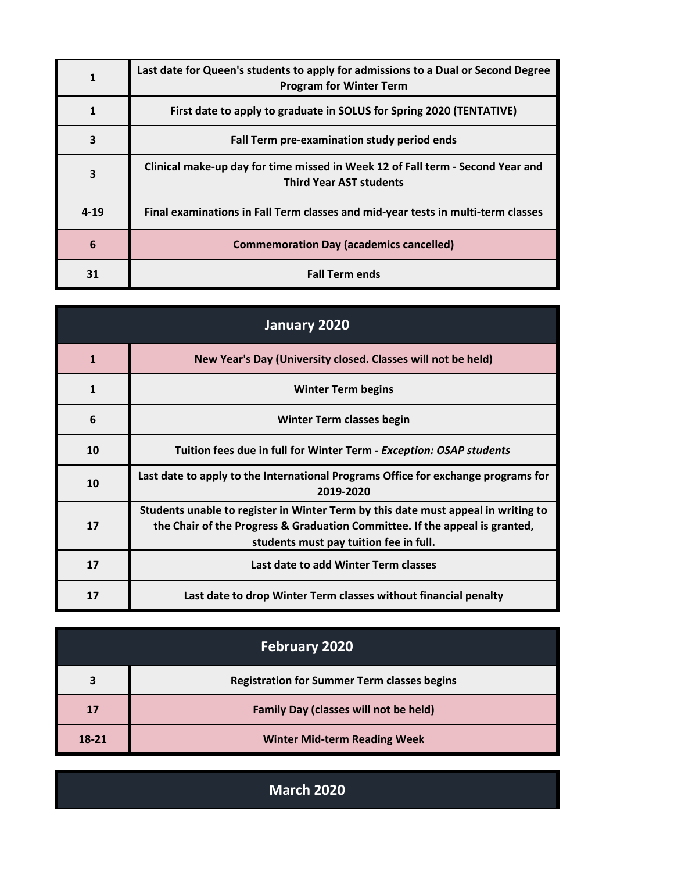|          | Last date for Queen's students to apply for admissions to a Dual or Second Degree<br><b>Program for Winter Term</b> |
|----------|---------------------------------------------------------------------------------------------------------------------|
|          | First date to apply to graduate in SOLUS for Spring 2020 (TENTATIVE)                                                |
| 3        | Fall Term pre-examination study period ends                                                                         |
| 3        | Clinical make-up day for time missed in Week 12 of Fall term - Second Year and<br><b>Third Year AST students</b>    |
| $4 - 19$ | Final examinations in Fall Term classes and mid-year tests in multi-term classes                                    |
| 6        | <b>Commemoration Day (academics cancelled)</b>                                                                      |
| 31       | <b>Fall Term ends</b>                                                                                               |

| January 2020 |                                                                                                                                                                                                            |
|--------------|------------------------------------------------------------------------------------------------------------------------------------------------------------------------------------------------------------|
| $\mathbf{1}$ | New Year's Day (University closed. Classes will not be held)                                                                                                                                               |
| $\mathbf{1}$ | <b>Winter Term begins</b>                                                                                                                                                                                  |
| 6            | Winter Term classes begin                                                                                                                                                                                  |
| 10           | Tuition fees due in full for Winter Term - Exception: OSAP students                                                                                                                                        |
| 10           | Last date to apply to the International Programs Office for exchange programs for<br>2019-2020                                                                                                             |
| 17           | Students unable to register in Winter Term by this date must appeal in writing to<br>the Chair of the Progress & Graduation Committee. If the appeal is granted,<br>students must pay tuition fee in full. |
| 17           | Last date to add Winter Term classes                                                                                                                                                                       |
| 17           | Last date to drop Winter Term classes without financial penalty                                                                                                                                            |

| <b>February 2020</b> |                                                    |
|----------------------|----------------------------------------------------|
| 3                    | <b>Registration for Summer Term classes begins</b> |
| 17                   | <b>Family Day (classes will not be held)</b>       |
| $18 - 21$            | <b>Winter Mid-term Reading Week</b>                |

**March 2020**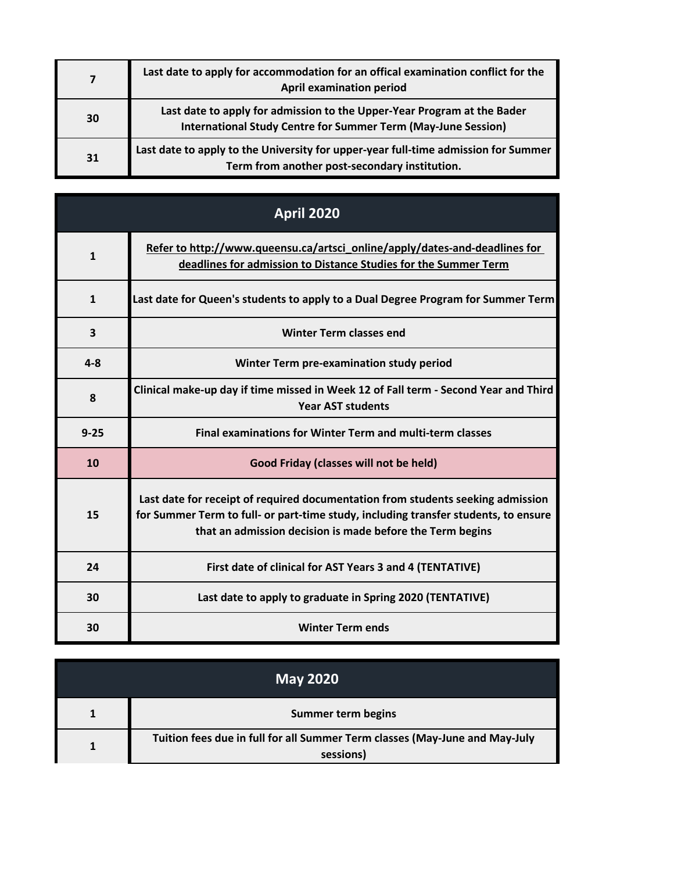|    | Last date to apply for accommodation for an offical examination conflict for the<br><b>April examination period</b>                             |
|----|-------------------------------------------------------------------------------------------------------------------------------------------------|
| 30 | Last date to apply for admission to the Upper-Year Program at the Bader<br><b>International Study Centre for Summer Term (May-June Session)</b> |
| 31 | Last date to apply to the University for upper-year full-time admission for Summer<br>Term from another post-secondary institution.             |

| <b>April 2020</b> |                                                                                                                                                                                                                                     |
|-------------------|-------------------------------------------------------------------------------------------------------------------------------------------------------------------------------------------------------------------------------------|
| $\mathbf{1}$      | Refer to http://www.queensu.ca/artsci_online/apply/dates-and-deadlines for<br>deadlines for admission to Distance Studies for the Summer Term                                                                                       |
| $\mathbf{1}$      | Last date for Queen's students to apply to a Dual Degree Program for Summer Term                                                                                                                                                    |
| 3                 | <b>Winter Term classes end</b>                                                                                                                                                                                                      |
| $4 - 8$           | Winter Term pre-examination study period                                                                                                                                                                                            |
| 8                 | Clinical make-up day if time missed in Week 12 of Fall term - Second Year and Third<br><b>Year AST students</b>                                                                                                                     |
| $9 - 25$          | <b>Final examinations for Winter Term and multi-term classes</b>                                                                                                                                                                    |
| 10                | Good Friday (classes will not be held)                                                                                                                                                                                              |
| 15                | Last date for receipt of required documentation from students seeking admission<br>for Summer Term to full- or part-time study, including transfer students, to ensure<br>that an admission decision is made before the Term begins |
| 24                | First date of clinical for AST Years 3 and 4 (TENTATIVE)                                                                                                                                                                            |
| 30                | Last date to apply to graduate in Spring 2020 (TENTATIVE)                                                                                                                                                                           |
| 30                | <b>Winter Term ends</b>                                                                                                                                                                                                             |

| <b>May 2020</b> |                                                                                          |
|-----------------|------------------------------------------------------------------------------------------|
|                 | Summer term begins                                                                       |
|                 | Tuition fees due in full for all Summer Term classes (May-June and May-July<br>sessions) |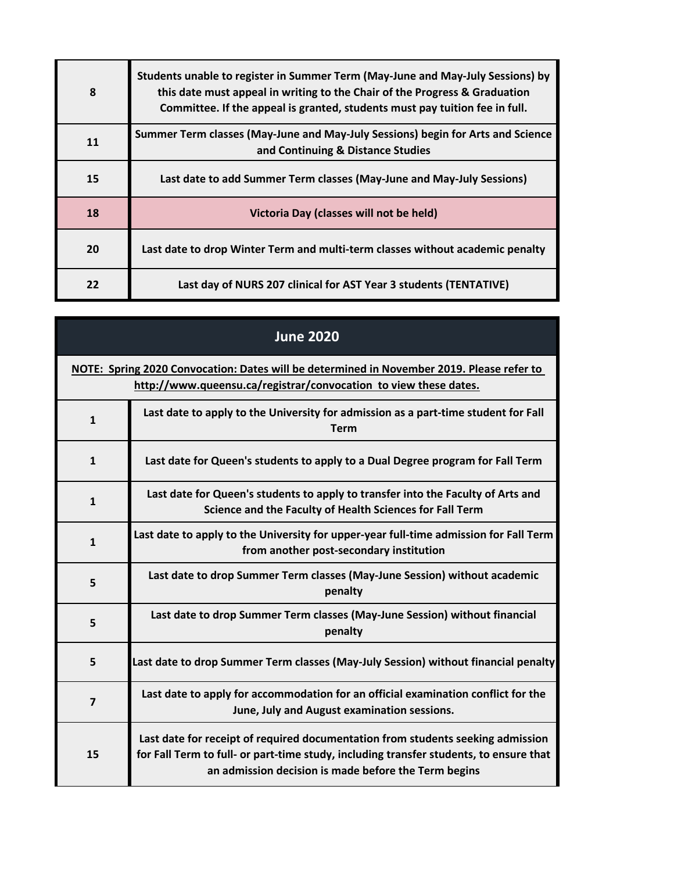| 8  | Students unable to register in Summer Term (May-June and May-July Sessions) by<br>this date must appeal in writing to the Chair of the Progress & Graduation<br>Committee. If the appeal is granted, students must pay tuition fee in full. |
|----|---------------------------------------------------------------------------------------------------------------------------------------------------------------------------------------------------------------------------------------------|
| 11 | Summer Term classes (May-June and May-July Sessions) begin for Arts and Science<br>and Continuing & Distance Studies                                                                                                                        |
| 15 | Last date to add Summer Term classes (May-June and May-July Sessions)                                                                                                                                                                       |
| 18 | Victoria Day (classes will not be held)                                                                                                                                                                                                     |
| 20 | Last date to drop Winter Term and multi-term classes without academic penalty                                                                                                                                                               |
| 22 | Last day of NURS 207 clinical for AST Year 3 students (TENTATIVE)                                                                                                                                                                           |

г

| <b>June 2020</b> |                                                                                                                                                                           |
|------------------|---------------------------------------------------------------------------------------------------------------------------------------------------------------------------|
|                  | NOTE: Spring 2020 Convocation: Dates will be determined in November 2019. Please refer to<br>http://www.queensu.ca/registrar/convocation to view these dates.             |
| $\mathbf{1}$     | Last date to apply to the University for admission as a part-time student for Fall<br><b>Term</b>                                                                         |
| $\mathbf{1}$     | Last date for Queen's students to apply to a Dual Degree program for Fall Term                                                                                            |
| $\mathbf{1}$     | Last date for Queen's students to apply to transfer into the Faculty of Arts and<br>Science and the Faculty of Health Sciences for Fall Term                              |
| $\mathbf{1}$     | Last date to apply to the University for upper-year full-time admission for Fall Term<br>from another post-secondary institution                                          |
| 5                | Last date to drop Summer Term classes (May-June Session) without academic<br>penalty                                                                                      |
| 5                | Last date to drop Summer Term classes (May-June Session) without financial<br>penalty                                                                                     |
| 5                | Last date to drop Summer Term classes (May-July Session) without financial penalty                                                                                        |
| $\overline{7}$   | Last date to apply for accommodation for an official examination conflict for the<br>June, July and August examination sessions.                                          |
| 15               | Last date for receipt of required documentation from students seeking admission<br>for Fall Term to full- or part-time study, including transfer students, to ensure that |

**an admission decision is made before the Term begins**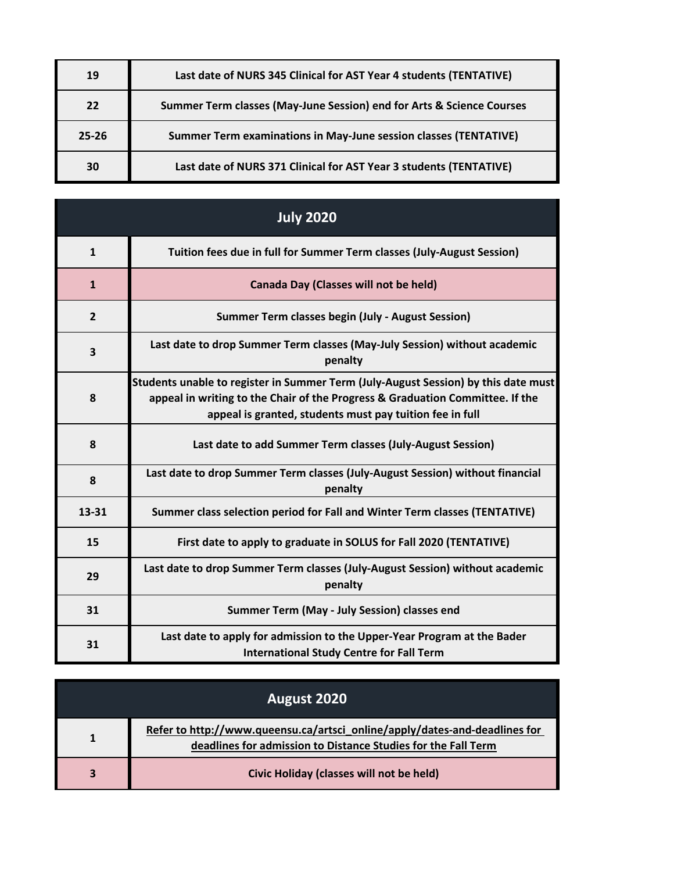| 19    | Last date of NURS 345 Clinical for AST Year 4 students (TENTATIVE)    |
|-------|-----------------------------------------------------------------------|
| 22    | Summer Term classes (May-June Session) end for Arts & Science Courses |
| 25-26 | Summer Term examinations in May-June session classes (TENTATIVE)      |
| 30    | Last date of NURS 371 Clinical for AST Year 3 students (TENTATIVE)    |

| <b>July 2020</b> |                                                                                                                                                                                                                                 |
|------------------|---------------------------------------------------------------------------------------------------------------------------------------------------------------------------------------------------------------------------------|
| $\mathbf{1}$     | Tuition fees due in full for Summer Term classes (July-August Session)                                                                                                                                                          |
| $\mathbf{1}$     | Canada Day (Classes will not be held)                                                                                                                                                                                           |
| $\overline{2}$   | <b>Summer Term classes begin (July - August Session)</b>                                                                                                                                                                        |
| 3                | Last date to drop Summer Term classes (May-July Session) without academic<br>penalty                                                                                                                                            |
| 8                | Students unable to register in Summer Term (July-August Session) by this date must<br>appeal in writing to the Chair of the Progress & Graduation Committee. If the<br>appeal is granted, students must pay tuition fee in full |
| 8                | Last date to add Summer Term classes (July-August Session)                                                                                                                                                                      |
| 8                | Last date to drop Summer Term classes (July-August Session) without financial<br>penalty                                                                                                                                        |
| 13-31            | Summer class selection period for Fall and Winter Term classes (TENTATIVE)                                                                                                                                                      |
| 15               | First date to apply to graduate in SOLUS for Fall 2020 (TENTATIVE)                                                                                                                                                              |
| 29               | Last date to drop Summer Term classes (July-August Session) without academic<br>penalty                                                                                                                                         |
| 31               | Summer Term (May - July Session) classes end                                                                                                                                                                                    |
| 31               | Last date to apply for admission to the Upper-Year Program at the Bader<br><b>International Study Centre for Fall Term</b>                                                                                                      |

| August 2020 |                                                                                                                                             |
|-------------|---------------------------------------------------------------------------------------------------------------------------------------------|
|             | Refer to http://www.queensu.ca/artsci_online/apply/dates-and-deadlines for<br>deadlines for admission to Distance Studies for the Fall Term |
| 3           | Civic Holiday (classes will not be held)                                                                                                    |